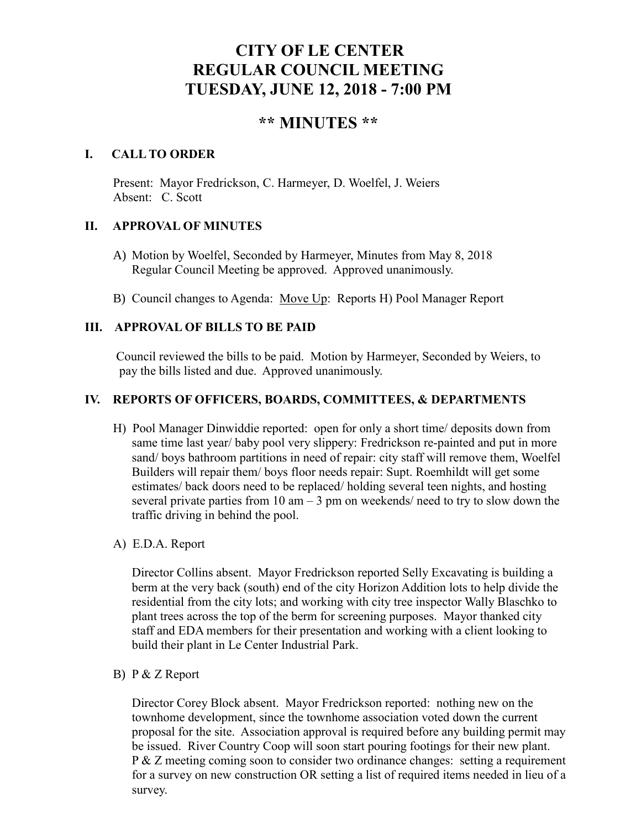# **CITY OF LE CENTER REGULAR COUNCIL MEETING TUESDAY, JUNE 12, 2018 - 7:00 PM**

# **\*\* MINUTES \*\***

# **I. CALL TO ORDER**

Present: Mayor Fredrickson, C. Harmeyer, D. Woelfel, J. Weiers Absent: C. Scott

# **II. APPROVAL OF MINUTES**

- A) Motion by Woelfel, Seconded by Harmeyer, Minutes from May 8, 2018 Regular Council Meeting be approved. Approved unanimously.
- B) Council changes to Agenda: Move Up: Reports H) Pool Manager Report

# **III. APPROVAL OF BILLS TO BE PAID**

Council reviewed the bills to be paid. Motion by Harmeyer, Seconded by Weiers, to pay the bills listed and due. Approved unanimously.

# **IV. REPORTS OF OFFICERS, BOARDS, COMMITTEES, & DEPARTMENTS**

- H) Pool Manager Dinwiddie reported: open for only a short time/ deposits down from same time last year/ baby pool very slippery: Fredrickson re-painted and put in more sand/ boys bathroom partitions in need of repair: city staff will remove them, Woelfel Builders will repair them/ boys floor needs repair: Supt. Roemhildt will get some estimates/ back doors need to be replaced/ holding several teen nights, and hosting several private parties from  $10 \text{ am} - 3 \text{ pm}$  on weekends/ need to try to slow down the traffic driving in behind the pool.
- A) E.D.A. Report

 Director Collins absent. Mayor Fredrickson reported Selly Excavating is building a berm at the very back (south) end of the city Horizon Addition lots to help divide the residential from the city lots; and working with city tree inspector Wally Blaschko to plant trees across the top of the berm for screening purposes. Mayor thanked city staff and EDA members for their presentation and working with a client looking to build their plant in Le Center Industrial Park.

B) P & Z Report

Director Corey Block absent. Mayor Fredrickson reported: nothing new on the townhome development, since the townhome association voted down the current proposal for the site. Association approval is required before any building permit may be issued. River Country Coop will soon start pouring footings for their new plant. P & Z meeting coming soon to consider two ordinance changes: setting a requirement for a survey on new construction OR setting a list of required items needed in lieu of a survey.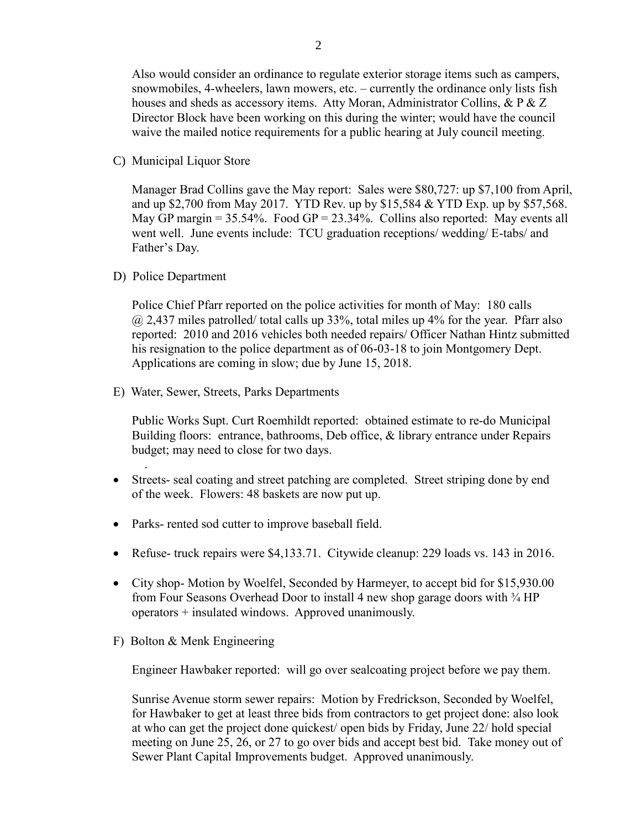Also would consider an ordinance to regulate exterior storage items such as campers, snowmobiles, 4-wheelers, lawn mowers, etc. – currently the ordinance only lists fish houses and sheds as accessory items. Atty Moran, Administrator Collins, & P & Z Director Block have been working on this during the winter; would have the council waive the mailed notice requirements for a public hearing at July council meeting.

C) Municipal Liquor Store

Manager Brad Collins gave the May report: Sales were \$80,727: up \$7,100 from April, and up \$2,700 from May 2017. YTD Rev. up by \$15,584 & YTD Exp. up by \$57,568. May GP margin =  $35.54\%$ . Food GP =  $23.34\%$ . Collins also reported: May events all went well. June events include: TCU graduation receptions/ wedding/ E-tabs/ and Father's Day.

D) Police Department

.

Police Chief Pfarr reported on the police activities for month of May: 180 calls  $\omega$  2,437 miles patrolled/ total calls up 33%, total miles up 4% for the year. Pfarr also reported: 2010 and 2016 vehicles both needed repairs/ Officer Nathan Hintz submitted his resignation to the police department as of 06-03-18 to join Montgomery Dept. Applications are coming in slow; due by June 15, 2018.

E) Water, Sewer, Streets, Parks Departments

 Public Works Supt. Curt Roemhildt reported: obtained estimate to re-do Municipal Building floors: entrance, bathrooms, Deb office, & library entrance under Repairs budget; may need to close for two days.

- Streets- seal coating and street patching are completed. Street striping done by end of the week. Flowers: 48 baskets are now put up.
- Parks- rented sod cutter to improve baseball field.
- Refuse- truck repairs were \$4,133.71. Citywide cleanup: 229 loads vs. 143 in 2016.
- City shop-Motion by Woelfel, Seconded by Harmeyer, to accept bid for \$15,930.00 from Four Seasons Overhead Door to install 4 new shop garage doors with <sup>3/4</sup> HP operators + insulated windows. Approved unanimously.
- F) Bolton & Menk Engineering

Engineer Hawbaker reported: will go over sealcoating project before we pay them.

 Sunrise Avenue storm sewer repairs: Motion by Fredrickson, Seconded by Woelfel, for Hawbaker to get at least three bids from contractors to get project done: also look at who can get the project done quickest/ open bids by Friday, June 22/ hold special meeting on June 25, 26, or 27 to go over bids and accept best bid. Take money out of Sewer Plant Capital Improvements budget. Approved unanimously.